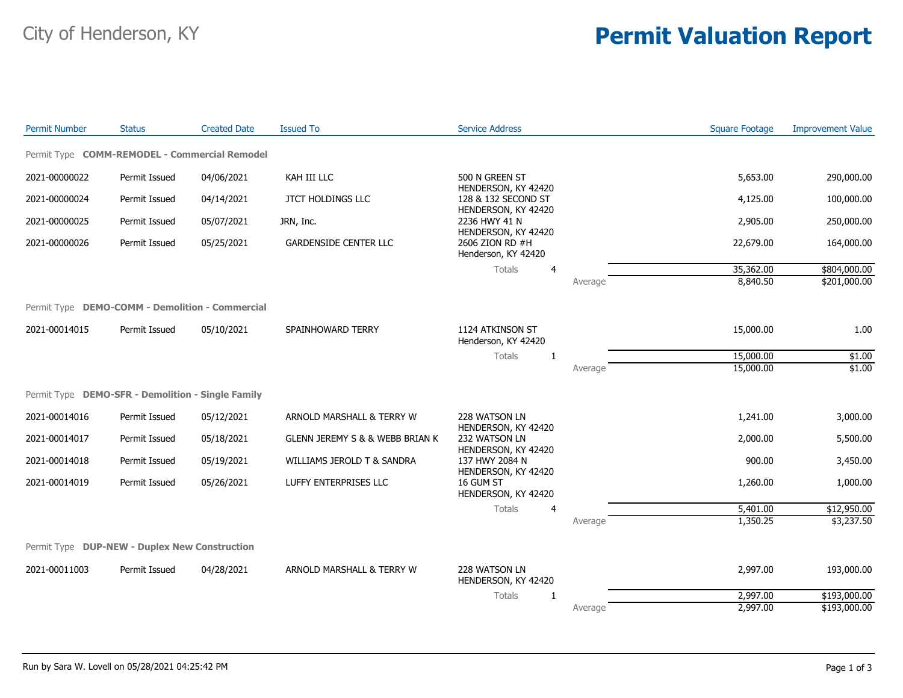## City of Henderson, KY **Permit Valuation Report**

| <b>Permit Number</b> | <b>Status</b>                                     | <b>Created Date</b> | <b>Issued To</b>                               | <b>Service Address</b>                                        |         | <b>Square Footage</b> | <b>Improvement Value</b> |
|----------------------|---------------------------------------------------|---------------------|------------------------------------------------|---------------------------------------------------------------|---------|-----------------------|--------------------------|
|                      | Permit Type COMM-REMODEL - Commercial Remodel     |                     |                                                |                                                               |         |                       |                          |
| 2021-00000022        | Permit Issued                                     | 04/06/2021          | KAH III LLC                                    | 500 N GREEN ST                                                |         | 5,653.00              | 290,000.00               |
| 2021-00000024        | Permit Issued                                     | 04/14/2021          | <b>JTCT HOLDINGS LLC</b>                       | HENDERSON, KY 42420<br>128 & 132 SECOND ST                    |         | 4,125.00              | 100,000.00               |
| 2021-00000025        | Permit Issued                                     | 05/07/2021          | JRN, Inc.                                      | HENDERSON, KY 42420<br>2236 HWY 41 N                          |         | 2,905.00              | 250,000.00               |
| 2021-00000026        | Permit Issued                                     | 05/25/2021          | <b>GARDENSIDE CENTER LLC</b>                   | HENDERSON, KY 42420<br>2606 ZION RD #H<br>Henderson, KY 42420 |         | 22,679.00             | 164,000.00               |
|                      |                                                   |                     |                                                | Totals<br>$\overline{4}$                                      |         | 35,362.00             | \$804,000.00             |
|                      |                                                   |                     |                                                |                                                               | Average | 8,840.50              | \$201,000.00             |
|                      | Permit Type DEMO-COMM - Demolition - Commercial   |                     |                                                |                                                               |         |                       |                          |
| 2021-00014015        | Permit Issued                                     | 05/10/2021          | SPAINHOWARD TERRY                              | 1124 ATKINSON ST<br>Henderson, KY 42420                       |         | 15,000.00             | 1.00                     |
|                      |                                                   |                     |                                                | Totals<br>1                                                   |         | 15,000.00             | \$1.00                   |
|                      |                                                   |                     |                                                |                                                               | Average | 15,000.00             | \$1.00                   |
|                      | Permit Type DEMO-SFR - Demolition - Single Family |                     |                                                |                                                               |         |                       |                          |
| 2021-00014016        | Permit Issued                                     | 05/12/2021          | ARNOLD MARSHALL & TERRY W                      | 228 WATSON LN                                                 |         | 1,241.00              | 3,000.00                 |
| 2021-00014017        | Permit Issued                                     | 05/18/2021          | <b>GLENN JEREMY S &amp; &amp; WEBB BRIAN K</b> | HENDERSON, KY 42420<br>232 WATSON LN<br>HENDERSON, KY 42420   |         | 2,000.00              | 5,500.00                 |
| 2021-00014018        | Permit Issued                                     | 05/19/2021          | WILLIAMS JEROLD T & SANDRA                     | 137 HWY 2084 N                                                |         | 900.00                | 3,450.00                 |
| 2021-00014019        | Permit Issued                                     | 05/26/2021          | LUFFY ENTERPRISES LLC                          | HENDERSON, KY 42420<br>16 GUM ST<br>HENDERSON, KY 42420       |         | 1,260.00              | 1,000.00                 |
|                      |                                                   |                     |                                                | <b>Totals</b><br>4                                            |         | 5,401.00              | \$12,950.00              |
|                      |                                                   |                     |                                                |                                                               | Average | 1,350.25              | \$3,237.50               |
|                      | Permit Type DUP-NEW - Duplex New Construction     |                     |                                                |                                                               |         |                       |                          |
| 2021-00011003        | Permit Issued                                     | 04/28/2021          | ARNOLD MARSHALL & TERRY W                      | 228 WATSON LN<br>HENDERSON, KY 42420                          |         | 2,997.00              | 193,000.00               |
|                      |                                                   |                     |                                                | Totals<br>1                                                   |         | 2,997.00              | \$193,000.00             |
|                      |                                                   |                     |                                                |                                                               | Average | 2,997.00              | \$193,000.00             |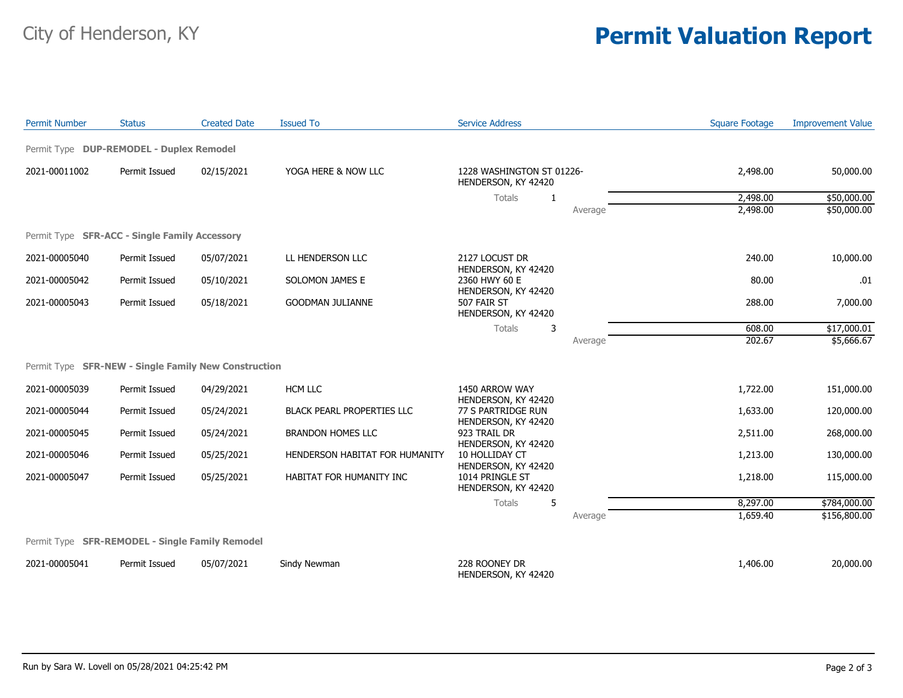## City of Henderson, KY **Permit Valuation Report**

| <b>Permit Number</b> | <b>Status</b>                                        | <b>Created Date</b> | <b>Issued To</b>                  | <b>Service Address</b>                                        |         | <b>Square Footage</b> | <b>Improvement Value</b> |
|----------------------|------------------------------------------------------|---------------------|-----------------------------------|---------------------------------------------------------------|---------|-----------------------|--------------------------|
|                      | Permit Type DUP-REMODEL - Duplex Remodel             |                     |                                   |                                                               |         |                       |                          |
| 2021-00011002        | Permit Issued<br>02/15/2021                          |                     | YOGA HERE & NOW LLC               | 1228 WASHINGTON ST 01226-<br>HENDERSON, KY 42420              |         | 2,498.00              | 50,000.00                |
|                      |                                                      |                     |                                   | Totals<br>-1                                                  |         | 2,498.00              | \$50,000.00              |
|                      |                                                      |                     |                                   |                                                               | Average | 2,498.00              | \$50,000.00              |
|                      | Permit Type SFR-ACC - Single Family Accessory        |                     |                                   |                                                               |         |                       |                          |
| 2021-00005040        | Permit Issued                                        | 05/07/2021          | LL HENDERSON LLC                  | 2127 LOCUST DR<br>HENDERSON, KY 42420                         |         | 240.00                | 10,000.00                |
| 2021-00005042        | Permit Issued                                        | 05/10/2021          | SOLOMON JAMES E                   | 2360 HWY 60 E                                                 |         | 80.00                 | .01                      |
| 2021-00005043        | Permit Issued                                        | 05/18/2021          | <b>GOODMAN JULIANNE</b>           | HENDERSON, KY 42420<br>507 FAIR ST<br>HENDERSON, KY 42420     |         | 288.00                | 7,000.00                 |
|                      |                                                      |                     |                                   | 3<br>Totals                                                   |         | 608.00                | \$17,000.01              |
|                      |                                                      |                     |                                   |                                                               | Average | 202.67                | \$5,666.67               |
|                      | Permit Type SFR-NEW - Single Family New Construction |                     |                                   |                                                               |         |                       |                          |
| 2021-00005039        | Permit Issued                                        | 04/29/2021          | <b>HCM LLC</b>                    | 1450 ARROW WAY<br>HENDERSON, KY 42420                         |         | 1,722.00              | 151,000.00               |
| 2021-00005044        | Permit Issued                                        | 05/24/2021          | <b>BLACK PEARL PROPERTIES LLC</b> | 77 S PARTRIDGE RUN<br>HENDERSON, KY 42420                     |         | 1,633.00              | 120,000.00               |
| 2021-00005045        | Permit Issued                                        | 05/24/2021          | <b>BRANDON HOMES LLC</b>          | 923 TRAIL DR<br>HENDERSON, KY 42420                           |         | 2,511.00              | 268,000.00               |
| 2021-00005046        | Permit Issued                                        | 05/25/2021          | HENDERSON HABITAT FOR HUMANITY    | 10 HOLLIDAY CT                                                |         | 1,213.00              | 130,000.00               |
| 2021-00005047        | Permit Issued                                        | 05/25/2021          | HABITAT FOR HUMANITY INC          | HENDERSON, KY 42420<br>1014 PRINGLE ST<br>HENDERSON, KY 42420 |         | 1,218.00              | 115,000.00               |
|                      |                                                      |                     |                                   | Totals<br>5                                                   |         | 8,297.00              | \$784,000.00             |
|                      |                                                      |                     |                                   |                                                               | Average | 1,659.40              | \$156,800.00             |
|                      | Permit Type SFR-REMODEL - Single Family Remodel      |                     |                                   |                                                               |         |                       |                          |
| 2021-00005041        | Permit Issued                                        | 05/07/2021          | Sindy Newman                      | 228 ROONEY DR<br>HENDERSON, KY 42420                          |         | 1,406.00              | 20,000.00                |